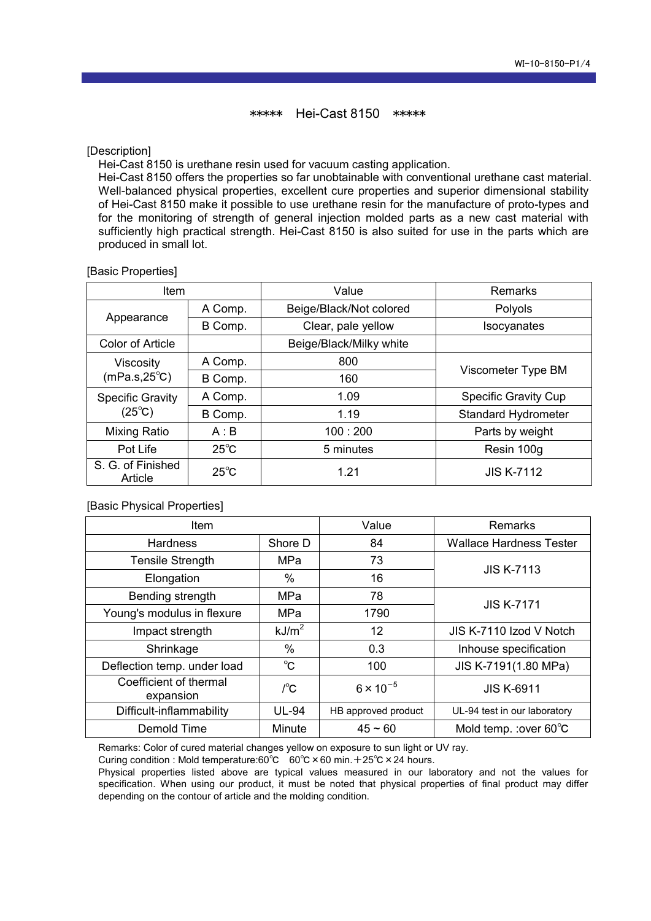\*\*\*\*\* Hei-Cast 8150 \*\*\*\*\*

[Description]

Hei-Cast 8150 is urethane resin used for vacuum casting application.

Hei-Cast 8150 offers the properties so far unobtainable with conventional urethane cast material. Well-balanced physical properties, excellent cure properties and superior dimensional stability of Hei-Cast 8150 make it possible to use urethane resin for the manufacture of proto-types and for the monitoring of strength of general injection molded parts as a new cast material with sufficiently high practical strength. Hei-Cast 8150 is also suited for use in the parts which are produced in small lot.

## [Basic Properties]

| <b>Item</b>                                | Value          |                         | Remarks                     |  |
|--------------------------------------------|----------------|-------------------------|-----------------------------|--|
| Appearance                                 | A Comp.        | Beige/Black/Not colored | Polyols                     |  |
|                                            | B Comp.        | Clear, pale yellow      | Isocyanates                 |  |
| <b>Color of Article</b>                    |                | Beige/Black/Milky white |                             |  |
| <b>Viscosity</b><br>$(mPa.s, 25^{\circ}C)$ | A Comp.        | 800                     |                             |  |
|                                            | B Comp.        | 160                     | Viscometer Type BM          |  |
| <b>Specific Gravity</b>                    | A Comp.        | 1.09                    | <b>Specific Gravity Cup</b> |  |
| $(25^{\circ}C)$                            | B Comp.        | 1.19                    | <b>Standard Hydrometer</b>  |  |
| Mixing Ratio                               | A:B            | 100:200                 | Parts by weight             |  |
| Pot Life                                   | $25^{\circ}$ C | 5 minutes               | Resin 100g                  |  |
| S. G. of Finished<br>Article               | $25^{\circ}$ C | 1.21                    | <b>JIS K-7112</b>           |  |

[Basic Physical Properties]

| <b>Item</b>                              |                   | Value               | <b>Remarks</b>                 |  |
|------------------------------------------|-------------------|---------------------|--------------------------------|--|
| <b>Hardness</b>                          | Shore D           | 84                  | <b>Wallace Hardness Tester</b> |  |
| <b>Tensile Strength</b>                  | MPa               | 73                  | <b>JIS K-7113</b>              |  |
| Elongation                               | %                 | 16                  |                                |  |
| Bending strength                         | MPa               | 78                  | <b>JIS K-7171</b>              |  |
| Young's modulus in flexure               | MPa               | 1790                |                                |  |
| Impact strength                          | kJ/m <sup>2</sup> | 12                  | JIS K-7110 Izod V Notch        |  |
| Shrinkage                                | $\%$              | 0.3                 | Inhouse specification          |  |
| Deflection temp. under load              | $^{\circ}$ C      | 100                 | JIS K-7191(1.80 MPa)           |  |
| Coefficient of thermal<br>expansion      | $/^{\circ}C$      | $6 \times 10^{-5}$  | <b>JIS K-6911</b>              |  |
| Difficult-inflammability<br><b>UL-94</b> |                   | HB approved product | UL-94 test in our laboratory   |  |
| Demold Time                              | Minute            | $45 - 60$           | Mold temp. : over 60°C         |  |

Remarks: Color of cured material changes yellow on exposure to sun light or UV ray.

Curing condition : Mold temperature:60℃ 60℃ × 60 min. + 25℃ × 24 hours.

Physical properties listed above are typical values measured in our laboratory and not the values for specification. When using our product, it must be noted that physical properties of final product may differ depending on the contour of article and the molding condition.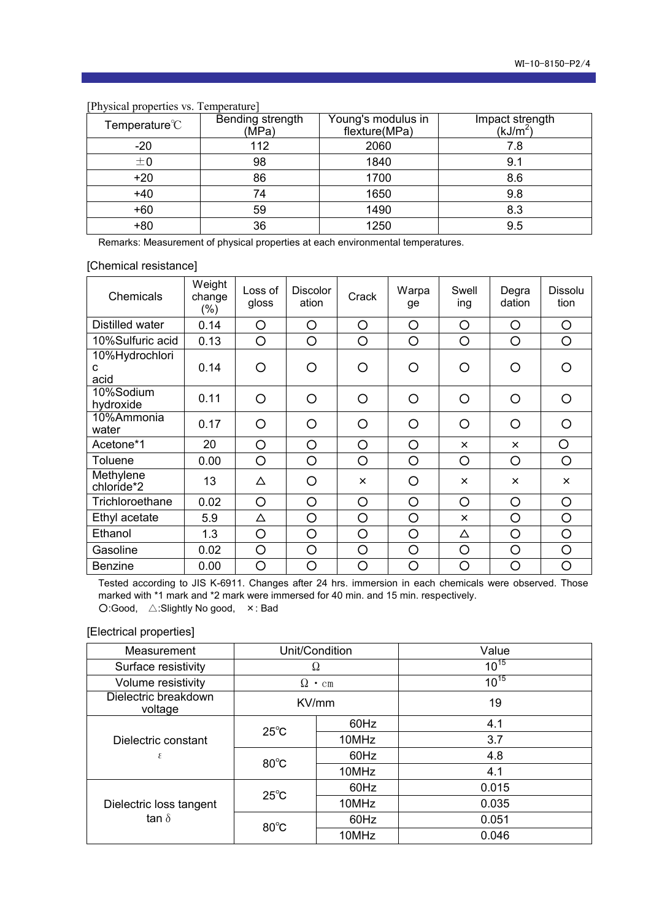| Temperature $\degree$ C | Bending strength<br>(MPa) | Young's modulus in<br>flexture(MPa) | Impact strength<br>( $kJ/m2$ ) |
|-------------------------|---------------------------|-------------------------------------|--------------------------------|
| $-20$                   | 112                       | 2060                                | 7.8                            |
| ±0                      | 98                        | 1840                                | 9.1                            |
| $+20$                   | 86                        | 1700                                | 8.6                            |
| $+40$                   | 74                        | 1650                                | 9.8                            |
| $+60$                   | 59                        | 1490                                | 8.3                            |
| $+80$                   | 36                        | 1250                                | 9.5                            |

[Physical properties vs. Temperature]

Remarks: Measurement of physical properties at each environmental temperatures.

## [Chemical resistance]

| Chemicals                   | Weight<br>change<br>$(\%)$ | Loss of<br>gloss | <b>Discolor</b><br>ation | Crack    | Warpa<br>ge | Swell<br>ing | Degra<br>dation | Dissolu<br>tion |
|-----------------------------|----------------------------|------------------|--------------------------|----------|-------------|--------------|-----------------|-----------------|
| Distilled water             | 0.14                       | O                | O                        | O        | O           | O            | O               | $\circ$         |
| 10%Sulfuric acid            | 0.13                       | O                | O                        | O        | O           | O            | O               | O               |
| 10%Hydrochlori<br>C<br>acid | 0.14                       | O                | O                        | O        | ∩           | O            | ◯               | ∩               |
| 10%Sodium<br>hydroxide      | 0.11                       | O                | O                        | O        | O           | O            | ◯               | $\circ$         |
| 10%Ammonia<br>water         | 0.17                       | O                | O                        | O        | O           | O            | ∩               | $\bigcirc$      |
| Acetone*1                   | 20                         | O                | O                        | O        | O           | $\times$     | $\times$        | O               |
| Toluene                     | 0.00                       | O                | O                        | O        | O           | O            | O               | O               |
| Methylene<br>chloride*2     | 13                         | Δ                | O                        | $\times$ | O           | $\times$     | $\times$        | $\times$        |
| Trichloroethane             | 0.02                       | O                | O                        | O        | O           | O            | O               | O               |
| Ethyl acetate               | 5.9                        | Δ                | O                        | O        | O           | $\mathsf{x}$ | O               | O               |
| Ethanol                     | 1.3                        | O                | O                        | O        | O           | Δ            | O               | O               |
| Gasoline                    | 0.02                       | O                | O                        | O        | O           | O            | O               | O               |
| <b>Benzine</b>              | 0.00                       | O                | O                        | O        | $\circ$     | O            | $\circ$         | $\circ$         |

Tested according to JIS K-6911. Changes after 24 hrs. immersion in each chemicals were observed. Those marked with \*1 mark and \*2 mark were immersed for 40 min. and 15 min. respectively. ○:Good, △:Slightly No good, ×: Bad

## [Electrical properties]

| Measurement                     | Unit/Condition  |       | Value     |
|---------------------------------|-----------------|-------|-----------|
| Surface resistivity             | Ω               |       | $10^{15}$ |
| Volume resistivity              | Ω<br>$\cdot$ cm |       | $10^{15}$ |
| Dielectric breakdown<br>voltage | KV/mm           |       | 19        |
|                                 | $25^{\circ}$ C  | 60Hz  | 4.1       |
| Dielectric constant             |                 | 10MHz | 3.7       |
| ε                               | $80^{\circ}$ C  | 60Hz  | 4.8       |
|                                 |                 | 10MHz | 4.1       |
|                                 | $25^{\circ}$ C  | 60Hz  | 0.015     |
| Dielectric loss tangent         |                 | 10MHz | 0.035     |
| tan $\delta$                    | $80^{\circ}$ C  | 60Hz  | 0.051     |
|                                 |                 | 10MHz | 0.046     |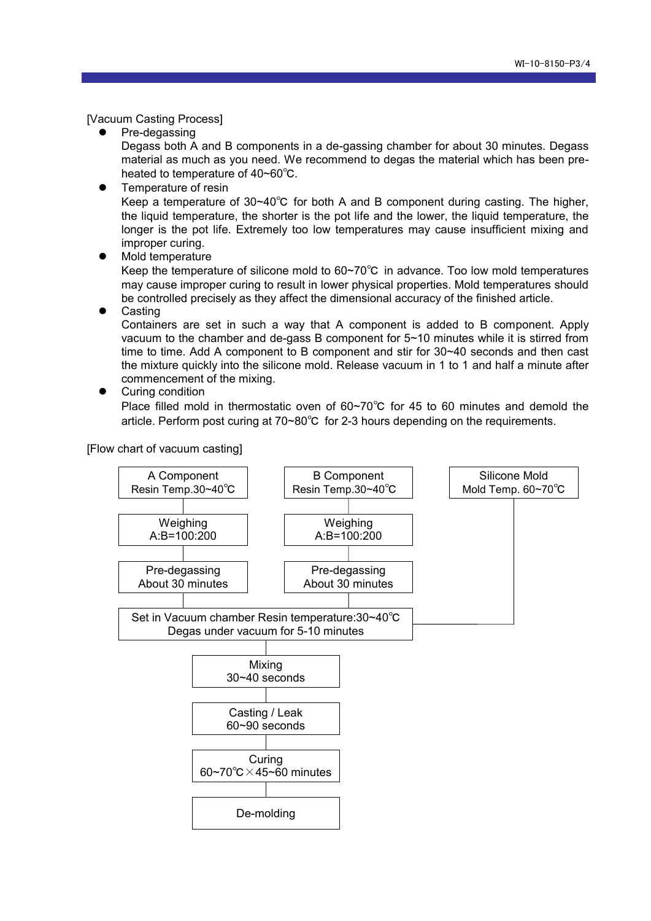[Vacuum Casting Process]

- Pre-degassing Degass both A and B components in a de-gassing chamber for about 30 minutes. Degass material as much as you need. We recommend to degas the material which has been preheated to temperature of 40~60℃.
- **•** Temperature of resin

Keep a temperature of 30~40℃ for both A and B component during casting. The higher, the liquid temperature, the shorter is the pot life and the lower, the liquid temperature, the longer is the pot life. Extremely too low temperatures may cause insufficient mixing and improper curing.

• Mold temperature

Keep the temperature of silicone mold to 60~70℃ in advance. Too low mold temperatures may cause improper curing to result in lower physical properties. Mold temperatures should be controlled precisely as they affect the dimensional accuracy of the finished article.

Casting

Containers are set in such a way that A component is added to B component. Apply vacuum to the chamber and de-gass B component for 5~10 minutes while it is stirred from time to time. Add A component to B component and stir for 30~40 seconds and then cast the mixture quickly into the silicone mold. Release vacuum in 1 to 1 and half a minute after commencement of the mixing.

Curing condition

Place filled mold in thermostatic oven of 60~70℃ for 45 to 60 minutes and demold the article. Perform post curing at 70~80℃ for 2-3 hours depending on the requirements.

[Flow chart of vacuum casting]